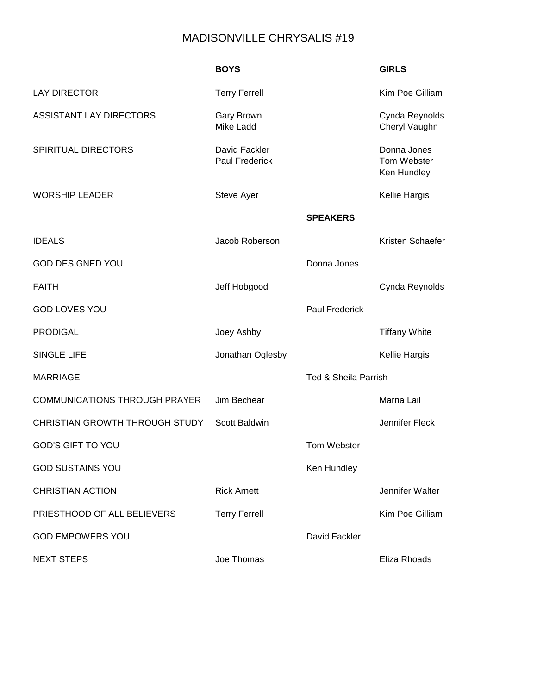## MADISONVILLE CHRYSALIS #19

|                                      | <b>BOYS</b>                            |                                 | <b>GIRLS</b>                              |
|--------------------------------------|----------------------------------------|---------------------------------|-------------------------------------------|
| <b>LAY DIRECTOR</b>                  | <b>Terry Ferrell</b>                   |                                 | Kim Poe Gilliam                           |
| <b>ASSISTANT LAY DIRECTORS</b>       | <b>Gary Brown</b><br>Mike Ladd         |                                 | Cynda Reynolds<br>Cheryl Vaughn           |
| <b>SPIRITUAL DIRECTORS</b>           | David Fackler<br><b>Paul Frederick</b> |                                 | Donna Jones<br>Tom Webster<br>Ken Hundley |
| <b>WORSHIP LEADER</b>                | Steve Ayer                             |                                 | Kellie Hargis                             |
|                                      |                                        | <b>SPEAKERS</b>                 |                                           |
| <b>IDEALS</b>                        | Jacob Roberson                         |                                 | Kristen Schaefer                          |
| <b>GOD DESIGNED YOU</b>              |                                        | Donna Jones                     |                                           |
| <b>FAITH</b>                         | Jeff Hobgood                           |                                 | Cynda Reynolds                            |
| <b>GOD LOVES YOU</b>                 |                                        | <b>Paul Frederick</b>           |                                           |
| <b>PRODIGAL</b>                      | Joey Ashby                             |                                 | <b>Tiffany White</b>                      |
| <b>SINGLE LIFE</b>                   | Jonathan Oglesby                       |                                 | Kellie Hargis                             |
| <b>MARRIAGE</b>                      |                                        | <b>Ted &amp; Sheila Parrish</b> |                                           |
| <b>COMMUNICATIONS THROUGH PRAYER</b> | Jim Bechear                            |                                 | Marna Lail                                |
| CHRISTIAN GROWTH THROUGH STUDY       | <b>Scott Baldwin</b>                   |                                 | Jennifer Fleck                            |
| <b>GOD'S GIFT TO YOU</b>             |                                        | Tom Webster                     |                                           |
| <b>GOD SUSTAINS YOU</b>              |                                        | Ken Hundley                     |                                           |
| <b>CHRISTIAN ACTION</b>              | <b>Rick Arnett</b>                     |                                 | Jennifer Walter                           |
| PRIESTHOOD OF ALL BELIEVERS          | <b>Terry Ferrell</b>                   |                                 | Kim Poe Gilliam                           |
| <b>GOD EMPOWERS YOU</b>              |                                        | David Fackler                   |                                           |
| <b>NEXT STEPS</b>                    | Joe Thomas                             |                                 | Eliza Rhoads                              |